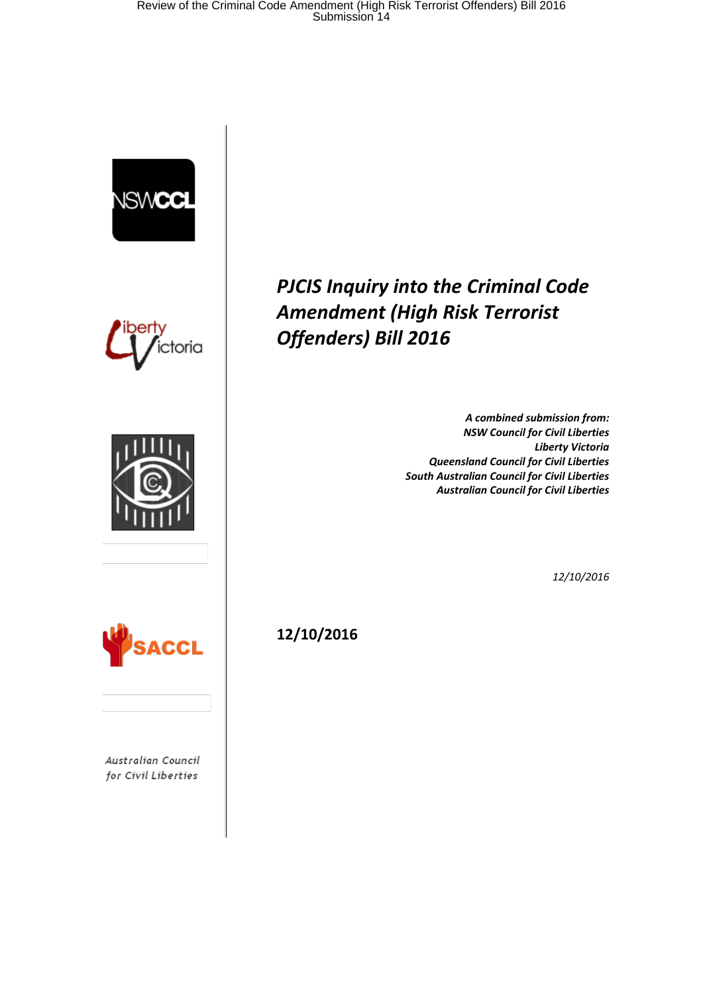





*PJCIS Inquiry into the Criminal Code Amendment (High Risk Terrorist Offenders) Bill 2016*

> *A combined submission from: NSW Council for Civil Liberties Liberty Victoria Queensland Council for Civil Liberties South Australian Council for Civil Liberties Australian Council for Civil Liberties*

> > *12/10/2016*



Australian Council for Civil Liberties

**12/10/2016**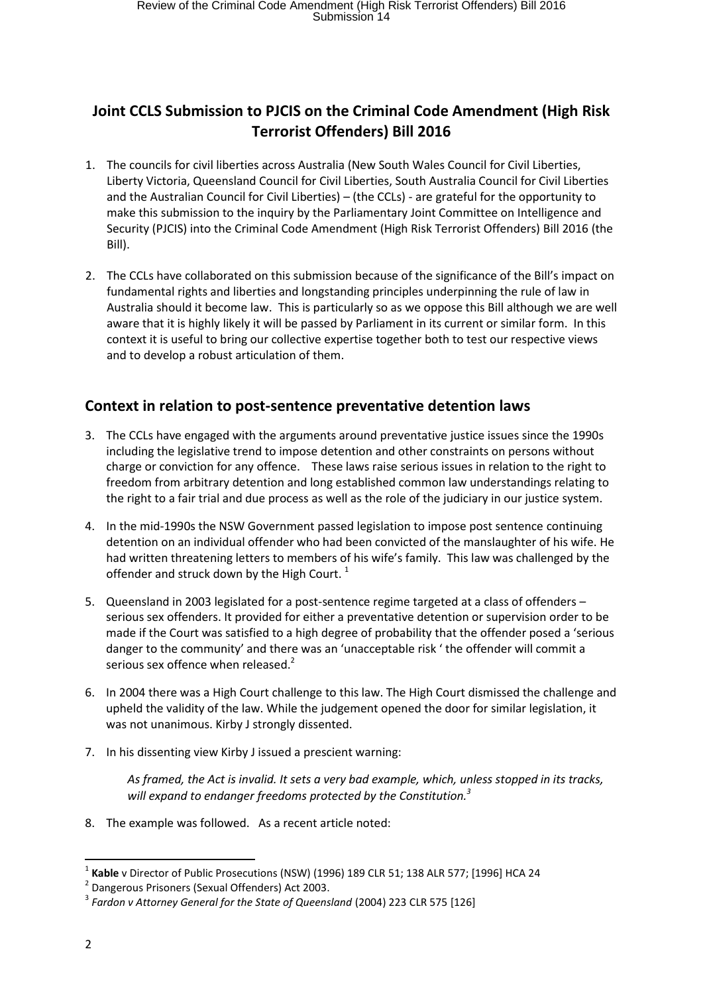# **Joint CCLS Submission to PJCIS on the Criminal Code Amendment (High Risk Terrorist Offenders) Bill 2016**

- 1. The councils for civil liberties across Australia (New South Wales Council for Civil Liberties, Liberty Victoria, Queensland Council for Civil Liberties, South Australia Council for Civil Liberties and the Australian Council for Civil Liberties) – (the CCLs) - are grateful for the opportunity to make this submission to the inquiry by the Parliamentary Joint Committee on Intelligence and Security (PJCIS) into the Criminal Code Amendment (High Risk Terrorist Offenders) Bill 2016 (the Bill).
- 2. The CCLs have collaborated on this submission because of the significance of the Bill's impact on fundamental rights and liberties and longstanding principles underpinning the rule of law in Australia should it become law. This is particularly so as we oppose this Bill although we are well aware that it is highly likely it will be passed by Parliament in its current or similar form. In this context it is useful to bring our collective expertise together both to test our respective views and to develop a robust articulation of them.

## **Context in relation to post-sentence preventative detention laws**

- 3. The CCLs have engaged with the arguments around preventative justice issues since the 1990s including the legislative trend to impose detention and other constraints on persons without charge or conviction for any offence. These laws raise serious issues in relation to the right to freedom from arbitrary detention and long established common law understandings relating to the right to a fair trial and due process as well as the role of the judiciary in our justice system.
- 4. In the mid-1990s the NSW Government passed legislation to impose post sentence continuing detention on an individual offender who had been convicted of the manslaughter of his wife. He had written threatening letters to members of his wife's family. This law was challenged by the offender and struck down by the High Court.  $1$
- 5. Queensland in 2003 legislated for a post-sentence regime targeted at a class of offenders serious sex offenders. It provided for either a preventative detention or supervision order to be made if the Court was satisfied to a high degree of probability that the offender posed a 'serious danger to the community' and there was an 'unacceptable risk ' the offender will commit a serious sex offence when released.<sup>2</sup>
- 6. In 2004 there was a High Court challenge to this law. The High Court dismissed the challenge and upheld the validity of the law. While the judgement opened the door for similar legislation, it was not unanimous. Kirby J strongly dissented.
- 7. In his dissenting view Kirby J issued a prescient warning:

*As framed, the Act is invalid. It sets a very bad example, which, unless stopped in its tracks, will expand to endanger freedoms protected by the Constitution.<sup>3</sup>*

8. The example was followed. As a recent article noted:

<sup>1</sup> **Kable** v Director of Public Prosecutions (NSW) (1996) 189 CLR 51; 138 ALR 577; [1996] HCA 24

<sup>&</sup>lt;sup>2</sup> Dangerous Prisoners (Sexual Offenders) Act 2003.

<sup>3</sup> *Fardon v Attorney General for the State of Queensland* (2004) 223 CLR 575 [126]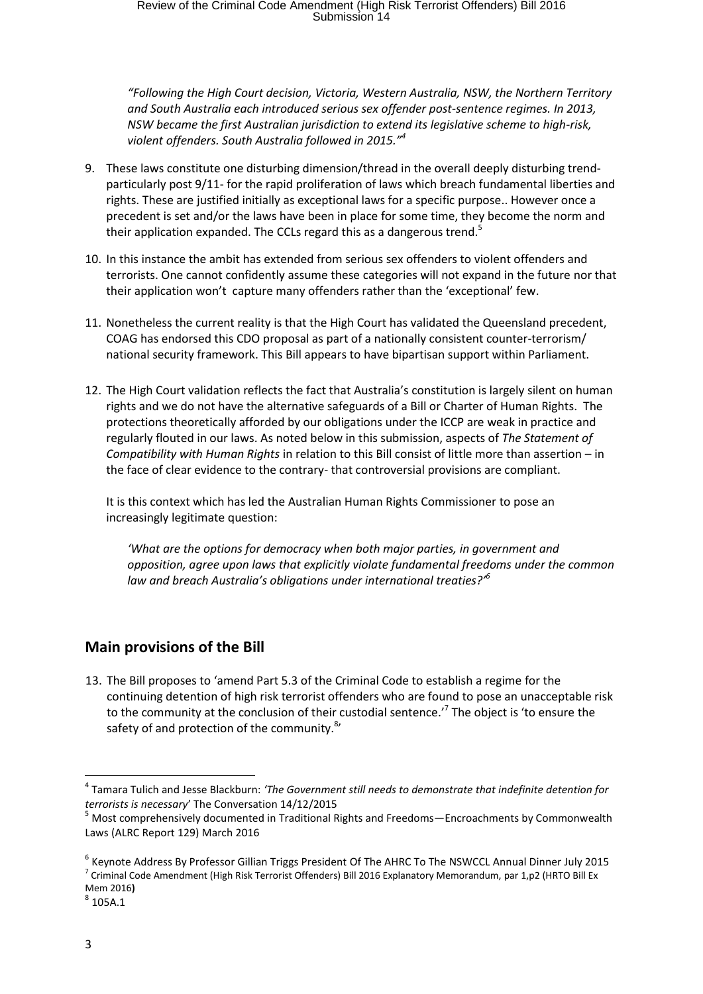*"Following the High Court decision, Victoria, Western Australia, NSW, the Northern Territory and South Australia each introduced serious sex offender post-sentence regimes. In 2013, NSW became the first Australian jurisdiction to extend its legislative scheme to high-risk, violent offenders. South Australia followed in 2015."<sup>4</sup>*

- 9. These laws constitute one disturbing dimension/thread in the overall deeply disturbing trendparticularly post 9/11- for the rapid proliferation of laws which breach fundamental liberties and rights. These are justified initially as exceptional laws for a specific purpose.. However once a precedent is set and/or the laws have been in place for some time, they become the norm and their application expanded. The CCLs regard this as a dangerous trend.<sup>5</sup>
- 10. In this instance the ambit has extended from serious sex offenders to violent offenders and terrorists. One cannot confidently assume these categories will not expand in the future nor that their application won't capture many offenders rather than the 'exceptional' few.
- 11. Nonetheless the current reality is that the High Court has validated the Queensland precedent, COAG has endorsed this CDO proposal as part of a nationally consistent counter-terrorism/ national security framework. This Bill appears to have bipartisan support within Parliament.
- 12. The High Court validation reflects the fact that Australia's constitution is largely silent on human rights and we do not have the alternative safeguards of a Bill or Charter of Human Rights. The protections theoretically afforded by our obligations under the ICCP are weak in practice and regularly flouted in our laws. As noted below in this submission, aspects of *The Statement of Compatibility with Human Rights* in relation to this Bill consist of little more than assertion – in the face of clear evidence to the contrary- that controversial provisions are compliant.

It is this context which has led the Australian Human Rights Commissioner to pose an increasingly legitimate question:

*'What are the options for democracy when both major parties, in government and opposition, agree upon laws that explicitly violate fundamental freedoms under the common law and breach Australia's obligations under international treaties?'<sup>6</sup>*

# **Main provisions of the Bill**

13. The Bill proposes to 'amend Part 5.3 of the Criminal Code to establish a regime for the continuing detention of high risk terrorist offenders who are found to pose an unacceptable risk to the community at the conclusion of their custodial sentence.<sup>7</sup> The object is 'to ensure the safety of and protection of the community.<sup>8</sup>'

<sup>4</sup> Tamara Tulich and Jesse Blackburn: *'The Government still needs to demonstrate that indefinite detention for terrorists is necessary*' The Conversation 14/12/2015

<sup>&</sup>lt;sup>5</sup> Most comprehensively documented in Traditional Rights and Freedoms—Encroachments by Commonwealth Laws (ALRC Report 129) March 2016

<sup>6</sup> Keynote Address By Professor Gillian Triggs President Of The AHRC To The NSWCCL Annual Dinner July 2015 <sup>7</sup> Criminal Code Amendment (High Risk Terrorist Offenders) Bill 2016 Explanatory Memorandum, par 1,p2 (HRTO Bill Ex Mem 2016**)** 

 $^8$  105A.1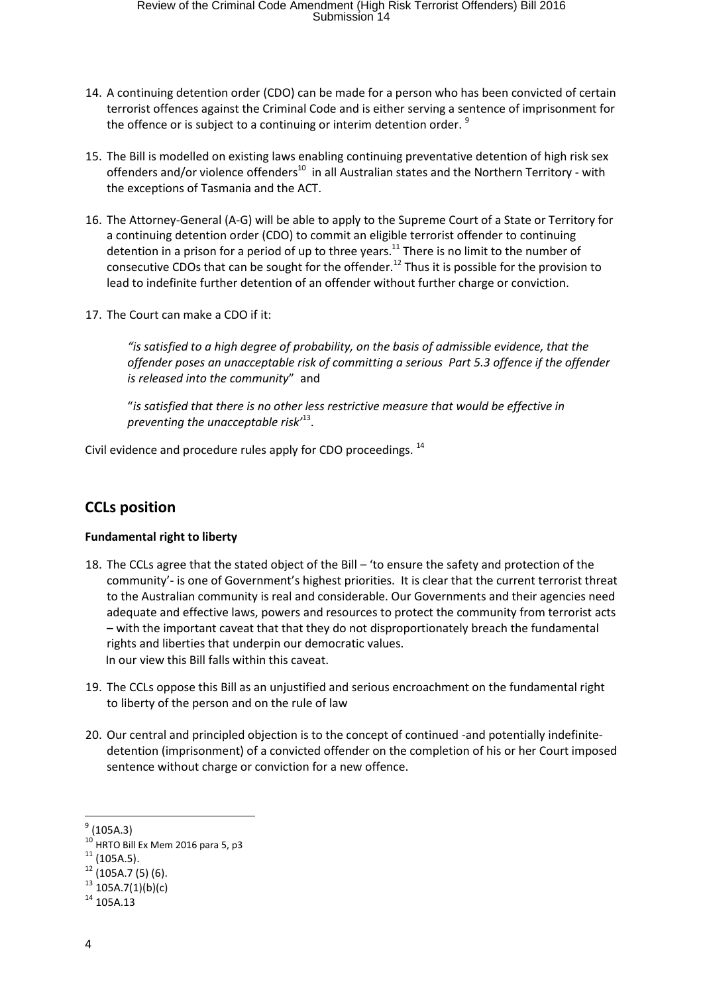- 14. A continuing detention order (CDO) can be made for a person who has been convicted of certain terrorist offences against the Criminal Code and is either serving a sentence of imprisonment for the offence or is subject to a continuing or interim detention order.<sup>9</sup>
- 15. The Bill is modelled on existing laws enabling continuing preventative detention of high risk sex offenders and/or violence offenders<sup>10</sup> in all Australian states and the Northern Territory - with the exceptions of Tasmania and the ACT.
- 16. The Attorney-General (A-G) will be able to apply to the Supreme Court of a State or Territory for a continuing detention order (CDO) to commit an eligible terrorist offender to continuing detention in a prison for a period of up to three years.<sup>11</sup> There is no limit to the number of consecutive CDOs that can be sought for the offender.<sup>12</sup> Thus it is possible for the provision to lead to indefinite further detention of an offender without further charge or conviction.
- 17. The Court can make a CDO if it:

*"is satisfied to a high degree of probability, on the basis of admissible evidence, that the offender poses an unacceptable risk of committing a serious Part 5.3 offence if the offender is released into the community*" and

"*is satisfied that there is no other less restrictive measure that would be effective in preventing the unacceptable risk'*<sup>13</sup> .

Civil evidence and procedure rules apply for CDO proceedings. <sup>14</sup>

# **CCLs position**

## **Fundamental right to liberty**

- 18. The CCLs agree that the stated object of the Bill 'to ensure the safety and protection of the community'- is one of Government's highest priorities. It is clear that the current terrorist threat to the Australian community is real and considerable. Our Governments and their agencies need adequate and effective laws, powers and resources to protect the community from terrorist acts – with the important caveat that that they do not disproportionately breach the fundamental rights and liberties that underpin our democratic values. In our view this Bill falls within this caveat.
- 19. The CCLs oppose this Bill as an unjustified and serious encroachment on the fundamental right to liberty of the person and on the rule of law
- 20. Our central and principled objection is to the concept of continued -and potentially indefinitedetention (imprisonment) of a convicted offender on the completion of his or her Court imposed sentence without charge or conviction for a new offence.

1

 $^{9}$  (105A.3)

 $10$  HRTO Bill Ex Mem 2016 para 5, p3

 $11$  (105A.5).

 $12$  (105A.7 (5) (6).

 $13 \overline{105A.7(1)}(b)(c)$ 

 $14$  105A.13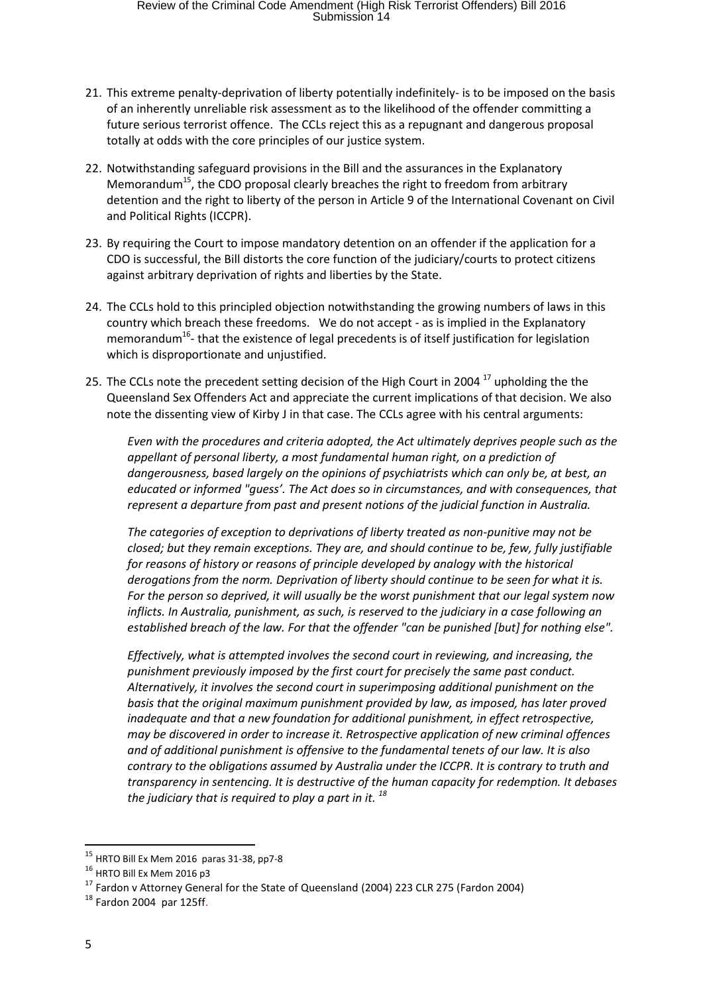- 21. This extreme penalty-deprivation of liberty potentially indefinitely- is to be imposed on the basis of an inherently unreliable risk assessment as to the likelihood of the offender committing a future serious terrorist offence. The CCLs reject this as a repugnant and dangerous proposal totally at odds with the core principles of our justice system.
- 22. Notwithstanding safeguard provisions in the Bill and the assurances in the Explanatory Memorandum<sup>15</sup>, the CDO proposal clearly breaches the right to freedom from arbitrary detention and the right to liberty of the person in Article 9 of the International Covenant on Civil and Political Rights (ICCPR).
- 23. By requiring the Court to impose mandatory detention on an offender if the application for a CDO is successful, the Bill distorts the core function of the judiciary/courts to protect citizens against arbitrary deprivation of rights and liberties by the State.
- 24. The CCLs hold to this principled objection notwithstanding the growing numbers of laws in this country which breach these freedoms. We do not accept - as is implied in the Explanatory memorandum<sup>16</sup>- that the existence of legal precedents is of itself justification for legislation which is disproportionate and unjustified.
- 25. The CCLs note the precedent setting decision of the High Court in 2004  $^{17}$  upholding the the Queensland Sex Offenders Act and appreciate the current implications of that decision. We also note the dissenting view of Kirby J in that case. The CCLs agree with his central arguments:

*Even with the procedures and criteria adopted, the Act ultimately deprives people such as the appellant of personal liberty, a most fundamental human right, on a prediction of dangerousness, based largely on the opinions of psychiatrists which can only be, at best, an educated or informed "guess'. The Act does so in circumstances, and with consequences, that represent a departure from past and present notions of the judicial function in Australia.* 

*The categories of exception to deprivations of liberty treated as non-punitive may not be closed; but they remain exceptions. They are, and should continue to be, few, fully justifiable for reasons of history or reasons of principle developed by analogy with the historical derogations from the norm. Deprivation of liberty should continue to be seen for what it is. For the person so deprived, it will usually be the worst punishment that our legal system now inflicts. In Australia, punishment, as such, is reserved to the judiciary in a case following an established breach of the law. For that the offender "can be punished [but] for nothing else".*

*Effectively, what is attempted involves the second court in reviewing, and increasing, the punishment previously imposed by the first court for precisely the same past conduct. Alternatively, it involves the second court in superimposing additional punishment on the basis that the original maximum punishment provided by law, as imposed, has later proved inadequate and that a new foundation for additional punishment, in effect retrospective, may be discovered in order to increase it. Retrospective application of new criminal offences and of additional punishment is offensive to the fundamental tenets of our law. It is also contrary to the obligations assumed by Australia under the ICCPR. It is contrary to truth and transparency in sentencing. It is destructive of the human capacity for redemption. It debases the judiciary that is required to play a part in it. <sup>18</sup>*

1

 $15$  HRTO Bill Ex Mem 2016 paras 31-38, pp7-8

<sup>&</sup>lt;sup>16</sup> HRTO Bill Ex Mem 2016 p3

<sup>17</sup> Fardon v Attorney General for the State of Queensland (2004) 223 CLR 275 (Fardon 2004)

 $18$  Fardon 2004 par 125ff.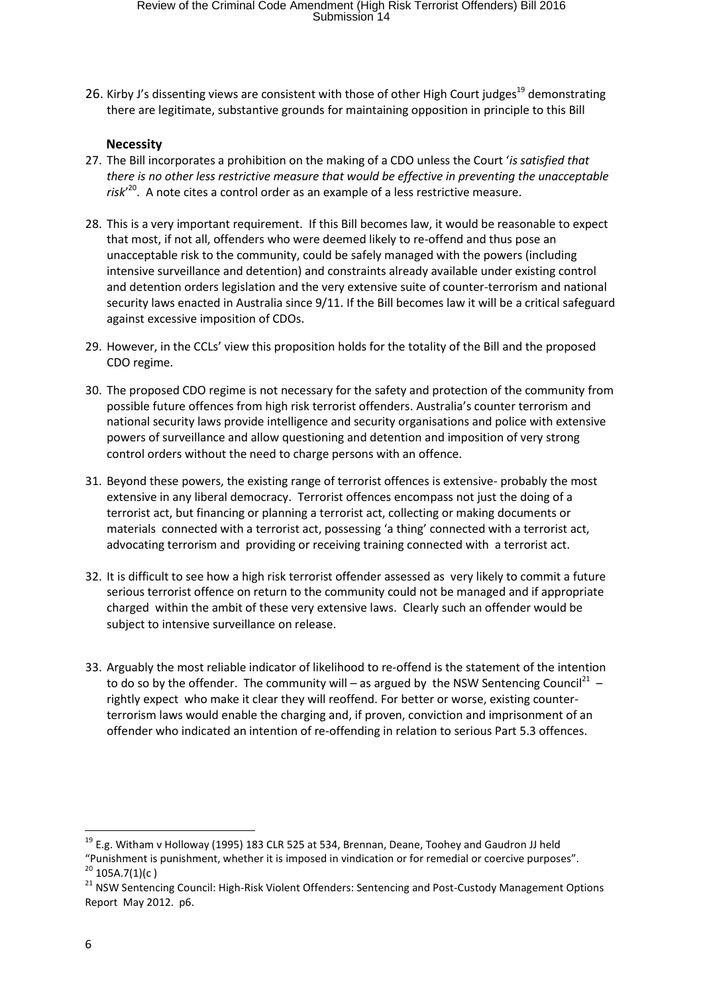26. Kirby J's dissenting views are consistent with those of other High Court judges<sup>19</sup> demonstrating there are legitimate, substantive grounds for maintaining opposition in principle to this Bill

#### **Necessity**

- 27. The Bill incorporates a prohibition on the making of a CDO unless the Court '*is satisfied that there is no other less restrictive measure that would be effective in preventing the unacceptable risk*' 20 . A note cites a control order as an example of a less restrictive measure.
- 28. This is a very important requirement. If this Bill becomes law, it would be reasonable to expect that most, if not all, offenders who were deemed likely to re-offend and thus pose an unacceptable risk to the community, could be safely managed with the powers (including intensive surveillance and detention) and constraints already available under existing control and detention orders legislation and the very extensive suite of counter-terrorism and national security laws enacted in Australia since 9/11. If the Bill becomes law it will be a critical safeguard against excessive imposition of CDOs.
- 29. However, in the CCLs' view this proposition holds for the totality of the Bill and the proposed CDO regime.
- 30. The proposed CDO regime is not necessary for the safety and protection of the community from possible future offences from high risk terrorist offenders. Australia's counter terrorism and national security laws provide intelligence and security organisations and police with extensive powers of surveillance and allow questioning and detention and imposition of very strong control orders without the need to charge persons with an offence.
- 31. Beyond these powers, the existing range of terrorist offences is extensive- probably the most extensive in any liberal democracy. Terrorist offences encompass not just the doing of a terrorist act, but financing or planning a terrorist act, collecting or making documents or materials connected with a terrorist act, possessing 'a thing' connected with a terrorist act, advocating terrorism and providing or receiving training connected with a terrorist act.
- 32. It is difficult to see how a high risk terrorist offender assessed as very likely to commit a future serious terrorist offence on return to the community could not be managed and if appropriate charged within the ambit of these very extensive laws. Clearly such an offender would be subject to intensive surveillance on release.
- 33. Arguably the most reliable indicator of likelihood to re-offend is the statement of the intention to do so by the offender. The community will – as argued by the NSW Sentencing Council<sup>21</sup> – rightly expect who make it clear they will reoffend. For better or worse, existing counterterrorism laws would enable the charging and, if proven, conviction and imprisonment of an offender who indicated an intention of re-offending in relation to serious Part 5.3 offences.

 $\overline{a}$ 

 $19$  E.g. Witham v Holloway (1995) 183 CLR 525 at 534, Brennan, Deane, Toohey and Gaudron JJ held "Punishment is punishment, whether it is imposed in vindication or for remedial or coercive purposes".  $^{20}$  105A.7(1)(c)

<sup>&</sup>lt;sup>21</sup> NSW Sentencing Council: High-Risk Violent Offenders: Sentencing and Post-Custody Management Options Report May 2012. p6.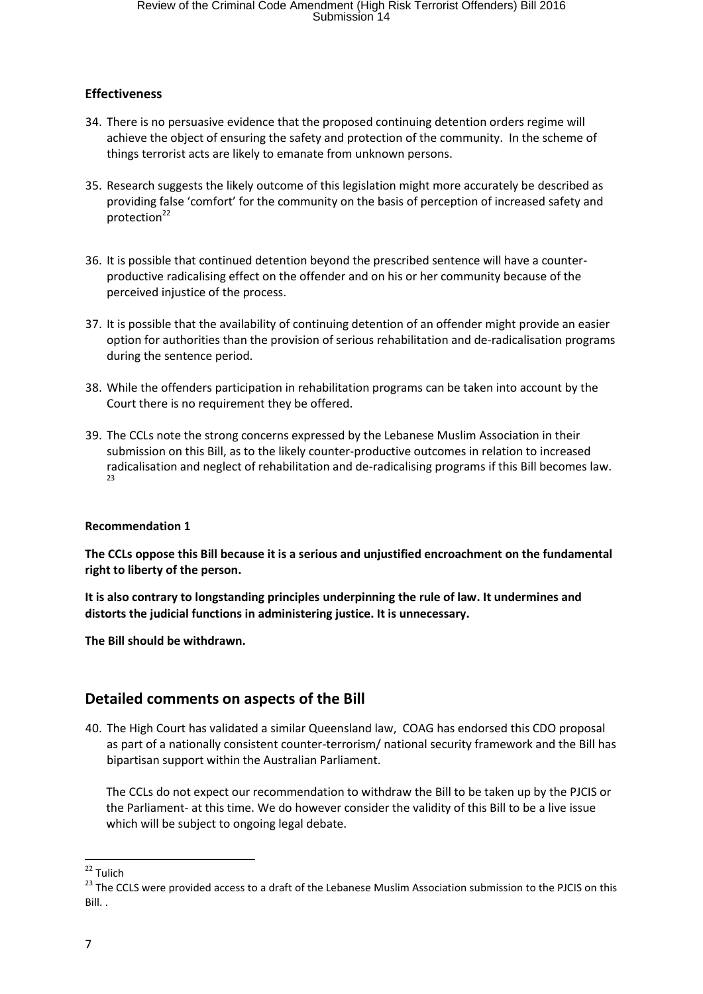## **Effectiveness**

- 34. There is no persuasive evidence that the proposed continuing detention orders regime will achieve the object of ensuring the safety and protection of the community. In the scheme of things terrorist acts are likely to emanate from unknown persons.
- 35. Research suggests the likely outcome of this legislation might more accurately be described as providing false 'comfort' for the community on the basis of perception of increased safety and protection<sup>22</sup>
- 36. It is possible that continued detention beyond the prescribed sentence will have a counterproductive radicalising effect on the offender and on his or her community because of the perceived injustice of the process.
- 37. It is possible that the availability of continuing detention of an offender might provide an easier option for authorities than the provision of serious rehabilitation and de-radicalisation programs during the sentence period.
- 38. While the offenders participation in rehabilitation programs can be taken into account by the Court there is no requirement they be offered.
- 39. The CCLs note the strong concerns expressed by the Lebanese Muslim Association in their submission on this Bill, as to the likely counter-productive outcomes in relation to increased radicalisation and neglect of rehabilitation and de-radicalising programs if this Bill becomes law.  $23$

## **Recommendation 1**

**The CCLs oppose this Bill because it is a serious and unjustified encroachment on the fundamental right to liberty of the person.**

**It is also contrary to longstanding principles underpinning the rule of law. It undermines and distorts the judicial functions in administering justice. It is unnecessary.**

**The Bill should be withdrawn.**

# **Detailed comments on aspects of the Bill**

40. The High Court has validated a similar Queensland law, COAG has endorsed this CDO proposal as part of a nationally consistent counter-terrorism/ national security framework and the Bill has bipartisan support within the Australian Parliament.

The CCLs do not expect our recommendation to withdraw the Bill to be taken up by the PJCIS or the Parliament- at this time. We do however consider the validity of this Bill to be a live issue which will be subject to ongoing legal debate.

**<sup>.</sup>** <sup>22</sup> Tulich

<sup>&</sup>lt;sup>23</sup> The CCLS were provided access to a draft of the Lebanese Muslim Association submission to the PJCIS on this Bill. .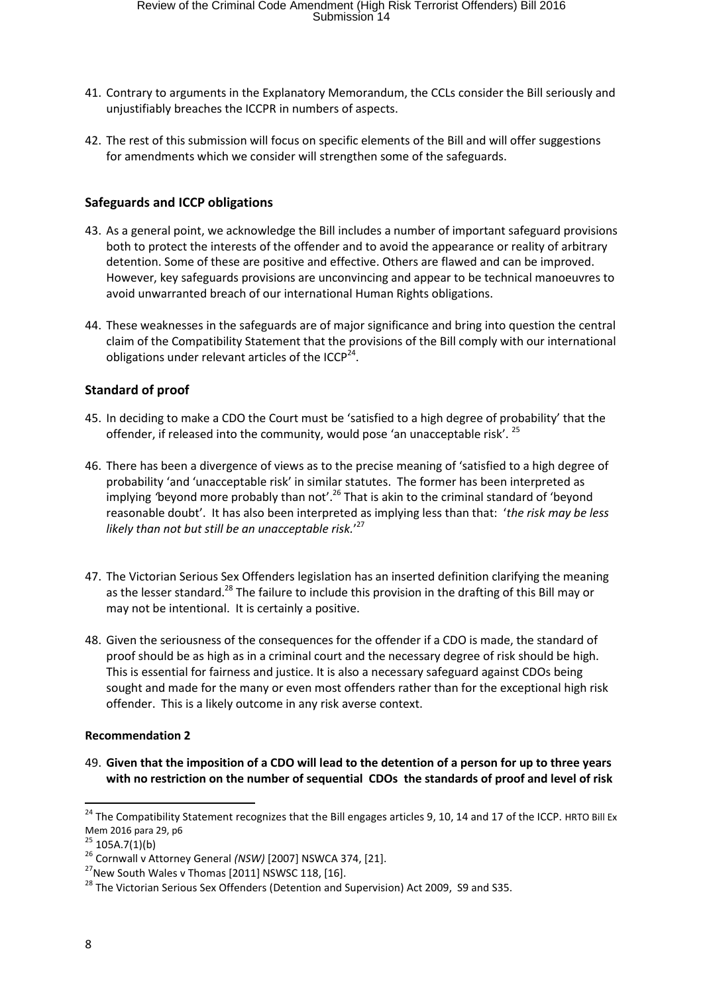- 41. Contrary to arguments in the Explanatory Memorandum, the CCLs consider the Bill seriously and unjustifiably breaches the ICCPR in numbers of aspects.
- 42. The rest of this submission will focus on specific elements of the Bill and will offer suggestions for amendments which we consider will strengthen some of the safeguards.

## **Safeguards and ICCP obligations**

- 43. As a general point, we acknowledge the Bill includes a number of important safeguard provisions both to protect the interests of the offender and to avoid the appearance or reality of arbitrary detention. Some of these are positive and effective. Others are flawed and can be improved. However, key safeguards provisions are unconvincing and appear to be technical manoeuvres to avoid unwarranted breach of our international Human Rights obligations.
- 44. These weaknesses in the safeguards are of major significance and bring into question the central claim of the Compatibility Statement that the provisions of the Bill comply with our international obligations under relevant articles of the ICCP $^{24}$ .

## **Standard of proof**

- 45. In deciding to make a CDO the Court must be 'satisfied to a high degree of probability' that the offender, if released into the community, would pose 'an unacceptable risk'.<sup>25</sup>
- 46. There has been a divergence of views as to the precise meaning of 'satisfied to a high degree of probability 'and 'unacceptable risk' in similar statutes. The former has been interpreted as implying *'*beyond more probably than not'. <sup>26</sup> That is akin to the criminal standard of 'beyond reasonable doubt'. It has also been interpreted as implying less than that: '*the risk may be less likely than not but still be an unacceptable risk.*' 27
- 47. The Victorian Serious Sex Offenders legislation has an inserted definition clarifying the meaning as the lesser standard.<sup>28</sup> The failure to include this provision in the drafting of this Bill may or may not be intentional. It is certainly a positive.
- 48. Given the seriousness of the consequences for the offender if a CDO is made, the standard of proof should be as high as in a criminal court and the necessary degree of risk should be high. This is essential for fairness and justice. It is also a necessary safeguard against CDOs being sought and made for the many or even most offenders rather than for the exceptional high risk offender. This is a likely outcome in any risk averse context.

## **Recommendation 2**

49. **Given that the imposition of a CDO will lead to the detention of a person for up to three years with no restriction on the number of sequential CDOs the standards of proof and level of risk** 

<sup>&</sup>lt;sup>24</sup> The Compatibility Statement recognizes that the Bill engages articles 9, 10, 14 and 17 of the ICCP. HRTO Bill Ex Mem 2016 para 29, p6

 $25$  105A.7(1)(b)

<sup>26</sup> Cornwall v Attorney General *(NSW)* [2007] NSWCA 374, [21].

 $^{27}$ New South Wales v Thomas [2011] NSWSC 118, [16].

 $^{28}$  The Victorian Serious Sex Offenders (Detention and Supervision) Act 2009, S9 and S35.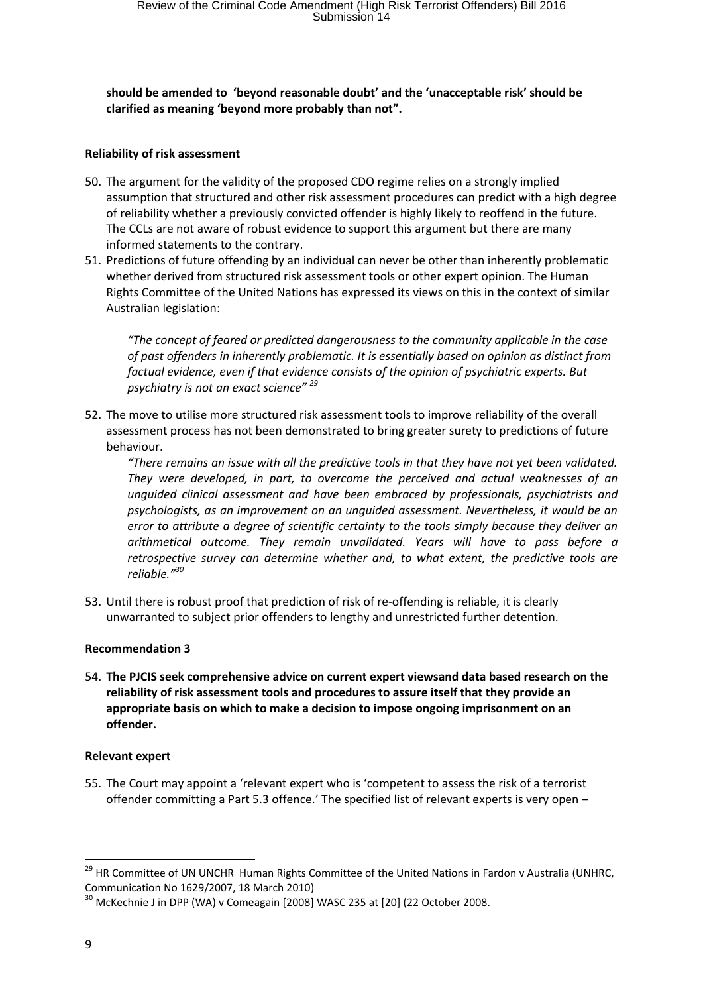**should be amended to 'beyond reasonable doubt' and the 'unacceptable risk' should be clarified as meaning 'beyond more probably than not".** 

#### **Reliability of risk assessment**

- 50. The argument for the validity of the proposed CDO regime relies on a strongly implied assumption that structured and other risk assessment procedures can predict with a high degree of reliability whether a previously convicted offender is highly likely to reoffend in the future. The CCLs are not aware of robust evidence to support this argument but there are many informed statements to the contrary.
- 51. Predictions of future offending by an individual can never be other than inherently problematic whether derived from structured risk assessment tools or other expert opinion. The Human Rights Committee of the United Nations has expressed its views on this in the context of similar Australian legislation:

*"The concept of feared or predicted dangerousness to the community applicable in the case of past offenders in inherently problematic. It is essentially based on opinion as distinct from factual evidence, even if that evidence consists of the opinion of psychiatric experts. But psychiatry is not an exact science" <sup>29</sup>*

52. The move to utilise more structured risk assessment tools to improve reliability of the overall assessment process has not been demonstrated to bring greater surety to predictions of future behaviour.

*"There remains an issue with all the predictive tools in that they have not yet been validated. They were developed, in part, to overcome the perceived and actual weaknesses of an unguided clinical assessment and have been embraced by professionals, psychiatrists and psychologists, as an improvement on an unguided assessment. Nevertheless, it would be an error to attribute a degree of scientific certainty to the tools simply because they deliver an arithmetical outcome. They remain unvalidated. Years will have to pass before a retrospective survey can determine whether and, to what extent, the predictive tools are reliable."<sup>30</sup>*

53. Until there is robust proof that prediction of risk of re-offending is reliable, it is clearly unwarranted to subject prior offenders to lengthy and unrestricted further detention.

## **Recommendation 3**

54. **The PJCIS seek comprehensive advice on current expert viewsand data based research on the reliability of risk assessment tools and procedures to assure itself that they provide an appropriate basis on which to make a decision to impose ongoing imprisonment on an offender.** 

#### **Relevant expert**

55. The Court may appoint a 'relevant expert who is 'competent to assess the risk of a terrorist offender committing a Part 5.3 offence.' The specified list of relevant experts is very open –

<sup>&</sup>lt;sup>29</sup> HR Committee of UN UNCHR Human Rights Committee of the United Nations in Fardon v Australia (UNHRC, Communication No 1629/2007, 18 March 2010)

<sup>&</sup>lt;sup>30</sup> McKechnie J in DPP (WA) v Comeagain [2008] WASC 235 at [20] (22 October 2008.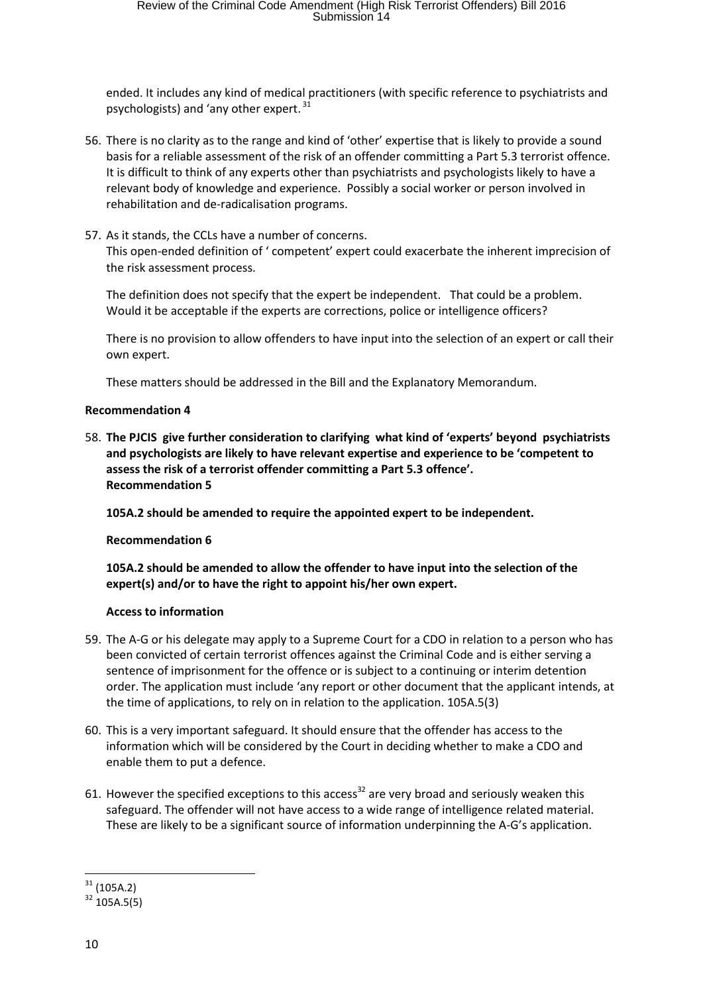ended. It includes any kind of medical practitioners (with specific reference to psychiatrists and psychologists) and 'any other expert.<sup>31</sup>

- 56. There is no clarity as to the range and kind of 'other' expertise that is likely to provide a sound basis for a reliable assessment of the risk of an offender committing a Part 5.3 terrorist offence. It is difficult to think of any experts other than psychiatrists and psychologists likely to have a relevant body of knowledge and experience. Possibly a social worker or person involved in rehabilitation and de-radicalisation programs.
- 57. As it stands, the CCLs have a number of concerns. This open-ended definition of ' competent' expert could exacerbate the inherent imprecision of the risk assessment process.

The definition does not specify that the expert be independent. That could be a problem. Would it be acceptable if the experts are corrections, police or intelligence officers?

There is no provision to allow offenders to have input into the selection of an expert or call their own expert.

These matters should be addressed in the Bill and the Explanatory Memorandum.

#### **Recommendation 4**

58. **The PJCIS give further consideration to clarifying what kind of 'experts' beyond psychiatrists and psychologists are likely to have relevant expertise and experience to be 'competent to assess the risk of a terrorist offender committing a Part 5.3 offence'. Recommendation 5**

**105A.2 should be amended to require the appointed expert to be independent.** 

#### **Recommendation 6**

**105A.2 should be amended to allow the offender to have input into the selection of the expert(s) and/or to have the right to appoint his/her own expert.** 

#### **Access to information**

- 59. The A-G or his delegate may apply to a Supreme Court for a CDO in relation to a person who has been convicted of certain terrorist offences against the Criminal Code and is either serving a sentence of imprisonment for the offence or is subject to a continuing or interim detention order. The application must include 'any report or other document that the applicant intends, at the time of applications, to rely on in relation to the application. 105A.5(3)
- 60. This is a very important safeguard. It should ensure that the offender has access to the information which will be considered by the Court in deciding whether to make a CDO and enable them to put a defence.
- 61. However the specified exceptions to this access<sup>32</sup> are very broad and seriously weaken this safeguard. The offender will not have access to a wide range of intelligence related material. These are likely to be a significant source of information underpinning the A-G's application.

1

 $31$  (105A.2)

 $32 \overline{105A.5(5)}$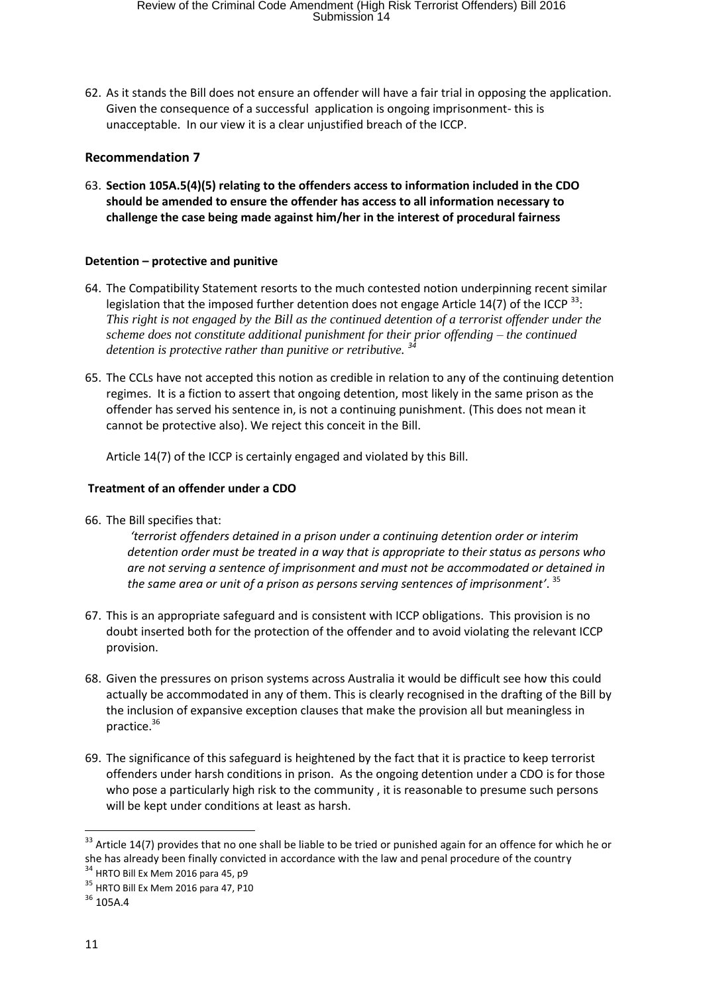62. As it stands the Bill does not ensure an offender will have a fair trial in opposing the application. Given the consequence of a successful application is ongoing imprisonment- this is unacceptable. In our view it is a clear unjustified breach of the ICCP.

### **Recommendation 7**

63. **Section 105A.5(4)(5) relating to the offenders access to information included in the CDO should be amended to ensure the offender has access to all information necessary to challenge the case being made against him/her in the interest of procedural fairness**

#### **Detention – protective and punitive**

- 64. The Compatibility Statement resorts to the much contested notion underpinning recent similar legislation that the imposed further detention does not engage Article 14(7) of the ICCP  $^{33}$ : *This right is not engaged by the Bill as the continued detention of a terrorist offender under the scheme does not constitute additional punishment for their prior offending – the continued detention is protective rather than punitive or retributive. <sup>34</sup>*
- 65. The CCLs have not accepted this notion as credible in relation to any of the continuing detention regimes. It is a fiction to assert that ongoing detention, most likely in the same prison as the offender has served his sentence in, is not a continuing punishment. (This does not mean it cannot be protective also). We reject this conceit in the Bill.

Article 14(7) of the ICCP is certainly engaged and violated by this Bill.

#### **Treatment of an offender under a CDO**

66. The Bill specifies that:

*'terrorist offenders detained in a prison under a continuing detention order or interim detention order must be treated in a way that is appropriate to their status as persons who are not serving a sentence of imprisonment and must not be accommodated or detained in the same area or unit of a prison as persons serving sentences of imprisonment'*. 35

- 67. This is an appropriate safeguard and is consistent with ICCP obligations. This provision is no doubt inserted both for the protection of the offender and to avoid violating the relevant ICCP provision.
- 68. Given the pressures on prison systems across Australia it would be difficult see how this could actually be accommodated in any of them. This is clearly recognised in the drafting of the Bill by the inclusion of expansive exception clauses that make the provision all but meaningless in practice.<sup>36</sup>
- 69. The significance of this safeguard is heightened by the fact that it is practice to keep terrorist offenders under harsh conditions in prison. As the ongoing detention under a CDO is for those who pose a particularly high risk to the community , it is reasonable to presume such persons will be kept under conditions at least as harsh.

 $\overline{a}$ 

<sup>&</sup>lt;sup>33</sup> Article 14(7) provides that no one shall be liable to be tried or punished again for an offence for which he or she has already been finally convicted in accordance with the law and penal procedure of the country

<sup>&</sup>lt;sup>34</sup> HRTO Bill Ex Mem 2016 para 45, p9

<sup>35</sup> HRTO Bill Ex Mem 2016 para 47, P10

 $36$  105A.4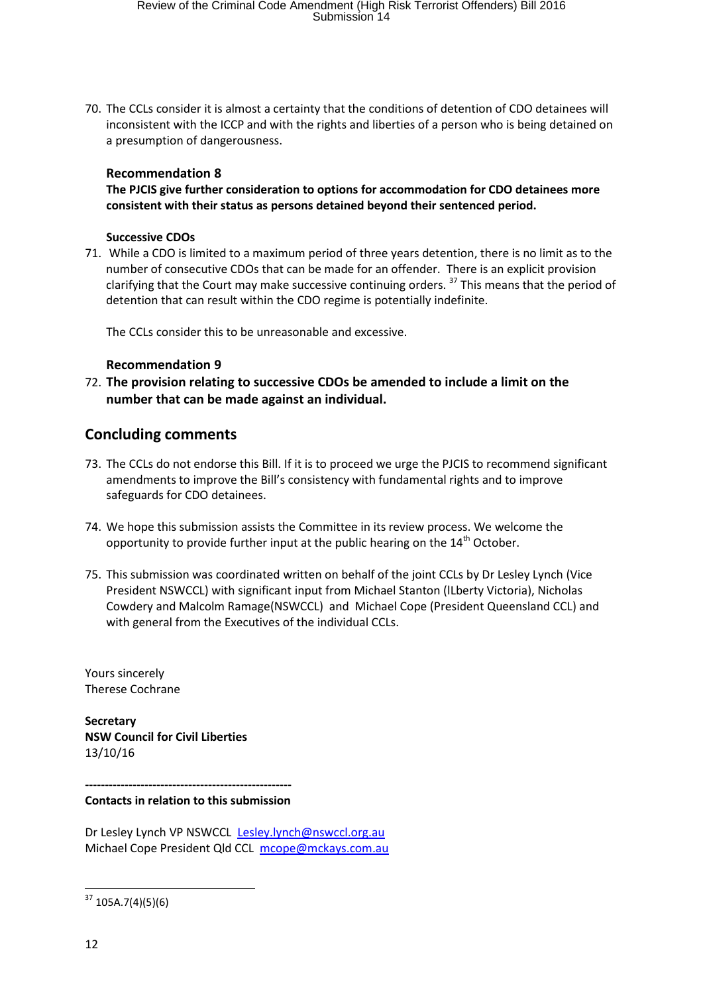70. The CCLs consider it is almost a certainty that the conditions of detention of CDO detainees will inconsistent with the ICCP and with the rights and liberties of a person who is being detained on a presumption of dangerousness.

### **Recommendation 8**

**The PJCIS give further consideration to options for accommodation for CDO detainees more consistent with their status as persons detained beyond their sentenced period.** 

#### **Successive CDOs**

71. While a CDO is limited to a maximum period of three years detention, there is no limit as to the number of consecutive CDOs that can be made for an offender. There is an explicit provision clarifying that the Court may make successive continuing orders.  $37$  This means that the period of detention that can result within the CDO regime is potentially indefinite.

The CCLs consider this to be unreasonable and excessive.

#### **Recommendation 9**

72. **The provision relating to successive CDOs be amended to include a limit on the number that can be made against an individual.** 

## **Concluding comments**

- 73. The CCLs do not endorse this Bill. If it is to proceed we urge the PJCIS to recommend significant amendments to improve the Bill's consistency with fundamental rights and to improve safeguards for CDO detainees.
- 74. We hope this submission assists the Committee in its review process. We welcome the opportunity to provide further input at the public hearing on the  $14<sup>th</sup>$  October.
- 75. This submission was coordinated written on behalf of the joint CCLs by Dr Lesley Lynch (Vice President NSWCCL) with significant input from Michael Stanton (lLberty Victoria), Nicholas Cowdery and Malcolm Ramage(NSWCCL) and Michael Cope (President Queensland CCL) and with general from the Executives of the individual CCLs.

Yours sincerely Therese Cochrane

**Secretary NSW Council for Civil Liberties**  13/10/16

**----------------------------------------------------**

**Contacts in relation to this submission** 

Dr Lesley Lynch VP NSWCCL Lesley.lynch@nswccl.org.au Michael Cope President Qld CCL mcope@mckays.com.au

**<sup>.</sup>**  $37$  105A.7(4)(5)(6)